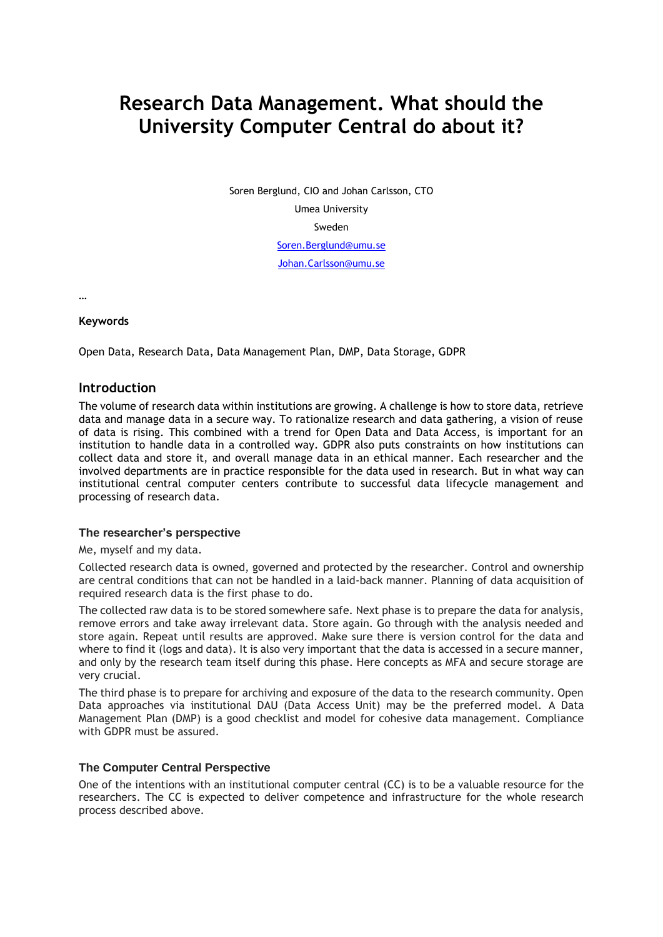# **Research Data Management. What should the University Computer Central do about it?**

Soren Berglund, CIO and Johan Carlsson, CTO Umea University Sweden [Soren.Berglund@umu.se](mailto:Soren.Berglund@umu.se) [Johan.Carlsson@umu.se](mailto:Johan.Carlsson@umu.se)

…

## **Keywords**

Open Data, Research Data, Data Management Plan, DMP, Data Storage, GDPR

# **Introduction**

The volume of research data within institutions are growing. A challenge is how to store data, retrieve data and manage data in a secure way. To rationalize research and data gathering, a vision of reuse of data is rising. This combined with a trend for Open Data and Data Access, is important for an institution to handle data in a controlled way. GDPR also puts constraints on how institutions can collect data and store it, and overall manage data in an ethical manner. Each researcher and the involved departments are in practice responsible for the data used in research. But in what way can institutional central computer centers contribute to successful data lifecycle management and processing of research data.

#### **The researcher's perspective**

Me, myself and my data.

Collected research data is owned, governed and protected by the researcher. Control and ownership are central conditions that can not be handled in a laid-back manner. Planning of data acquisition of required research data is the first phase to do.

The collected raw data is to be stored somewhere safe. Next phase is to prepare the data for analysis, remove errors and take away irrelevant data. Store again. Go through with the analysis needed and store again. Repeat until results are approved. Make sure there is version control for the data and where to find it (logs and data). It is also very important that the data is accessed in a secure manner, and only by the research team itself during this phase. Here concepts as MFA and secure storage are very crucial.

The third phase is to prepare for archiving and exposure of the data to the research community. Open Data approaches via institutional DAU (Data Access Unit) may be the preferred model. A Data Management Plan (DMP) is a good checklist and model for cohesive data management. Compliance with GDPR must be assured.

#### **The Computer Central Perspective**

One of the intentions with an institutional computer central (CC) is to be a valuable resource for the researchers. The CC is expected to deliver competence and infrastructure for the whole research process described above.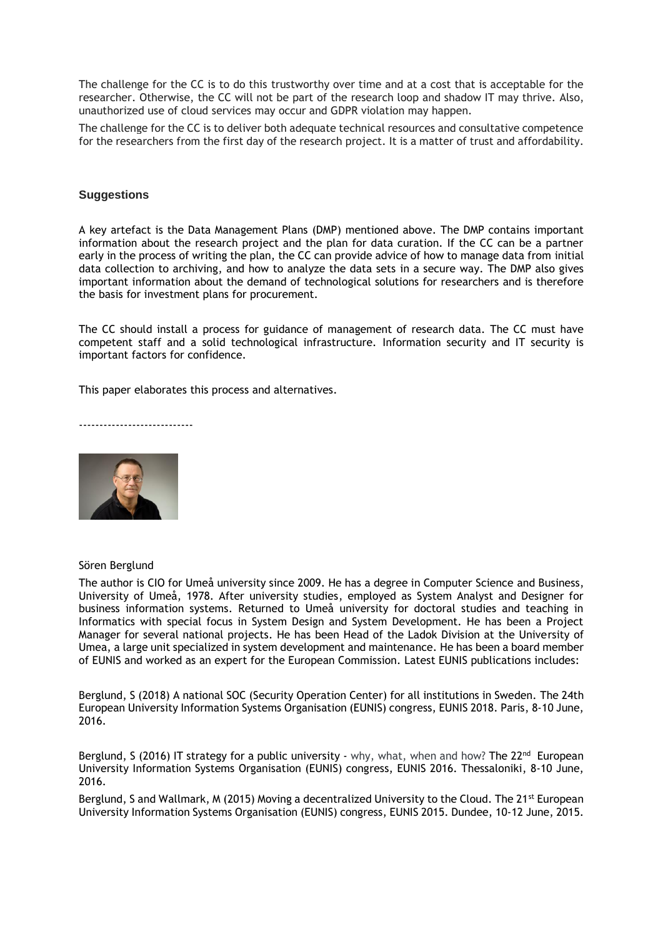The challenge for the CC is to do this trustworthy over time and at a cost that is acceptable for the researcher. Otherwise, the CC will not be part of the research loop and shadow IT may thrive. Also, unauthorized use of cloud services may occur and GDPR violation may happen.

The challenge for the CC is to deliver both adequate technical resources and consultative competence for the researchers from the first day of the research project. It is a matter of trust and affordability.

## **Suggestions**

A key artefact is the Data Management Plans (DMP) mentioned above. The DMP contains important information about the research project and the plan for data curation. If the CC can be a partner early in the process of writing the plan, the CC can provide advice of how to manage data from initial data collection to archiving, and how to analyze the data sets in a secure way. The DMP also gives important information about the demand of technological solutions for researchers and is therefore the basis for investment plans for procurement.

The CC should install a process for guidance of management of research data. The CC must have competent staff and a solid technological infrastructure. Information security and IT security is important factors for confidence.

This paper elaborates this process and alternatives.

----------------------------



#### Sören Berglund

The author is CIO for Umeå university since 2009. He has a degree in Computer Science and Business, University of Umeå, 1978. After university studies, employed as System Analyst and Designer for business information systems. Returned to Umeå university for doctoral studies and teaching in Informatics with special focus in System Design and System Development. He has been a Project Manager for several national projects. He has been Head of the Ladok Division at the University of Umea, a large unit specialized in system development and maintenance. He has been a board member of EUNIS and worked as an expert for the European Commission. Latest EUNIS publications includes:

Berglund, S (2018) A national SOC (Security Operation Center) for all institutions in Sweden. The 24th European University Information Systems Organisation (EUNIS) congress, EUNIS 2018. Paris, 8-10 June, 2016.

Berglund, S (2016) IT strategy for a public university - why, what, when and how? The  $22^{nd}$  European University Information Systems Organisation (EUNIS) congress, EUNIS 2016. Thessaloniki, 8-10 June, 2016.

Berglund, S and Wallmark, M (2015) Moving a decentralized University to the Cloud. The 21<sup>st</sup> European University Information Systems Organisation (EUNIS) congress, EUNIS 2015. Dundee, 10-12 June, 2015.